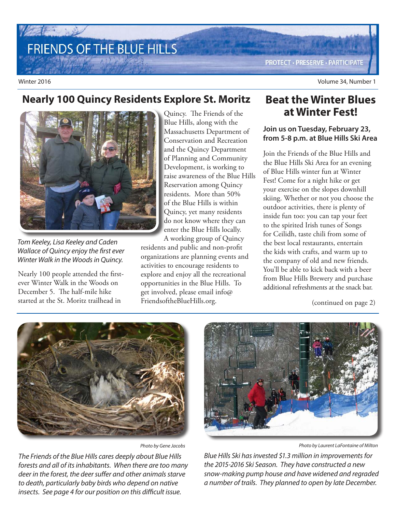# FRIENDS OF THE BLUE HILLS

**PROTECT · PRESERVE · PARTICIPATE** 

Winter 2016 Volume 34, Number 1

### **Nearly 100 Quincy Residents Explore St. Moritz**



Tom Keeley, Lisa Keeley and Caden Wallace of Quincy enjoy the first ever Winter Walk in the Woods in Quincy.

Nearly 100 people attended the firstever Winter Walk in the Woods on December 5. The half-mile hike started at the St. Moritz trailhead in

Blue Hills, along with the Massachusetts Department of Conservation and Recreation and the Quincy Department of Planning and Community Development, is working to raise awareness of the Blue Hills Reservation among Quincy residents. More than 50% of the Blue Hills is within Quincy, yet many residents do not know where they can enter the Blue Hills locally.

A working group of Quincy residents and public and non-profit organizations are planning events and activities to encourage residents to explore and enjoy all the recreational opportunities in the Blue Hills. To get involved, please email info@ FriendsoftheBlueHills.org.

#### **Beat the Winter Blues**  Quincy. The Friends of the **at Winter Fest!**

#### **Join us on Tuesday, February 23, from 5-8 p.m. at Blue Hills Ski Area**

Join the Friends of the Blue Hills and the Blue Hills Ski Area for an evening of Blue Hills winter fun at Winter Fest! Come for a night hike or get your exercise on the slopes downhill skiing. Whether or not you choose the outdoor activities, there is plenty of inside fun too: you can tap your feet to the spirited Irish tunes of Songs for Ceilidh, taste chili from some of the best local restaurants, entertain the kids with crafts, and warm up to the company of old and new friends. You'll be able to kick back with a beer from Blue Hills Brewery and purchase additional refreshments at the snack bar.

(continued on page 2)



The Friends of the Blue Hills cares deeply about Blue Hills forests and all of its inhabitants. When there are too many deer in the forest, the deer suffer and other animals starve to death, particularly baby birds who depend on native insects. See page 4 for our position on this difficult issue.



Photo by Gene Jacobs Photo by Laurent LaFontaine of Milton

Blue Hills Ski has invested \$1.3 million in improvements for the 2015-2016 Ski Season. They have constructed a new snow-making pump house and have widened and regraded a number of trails. They planned to open by late December.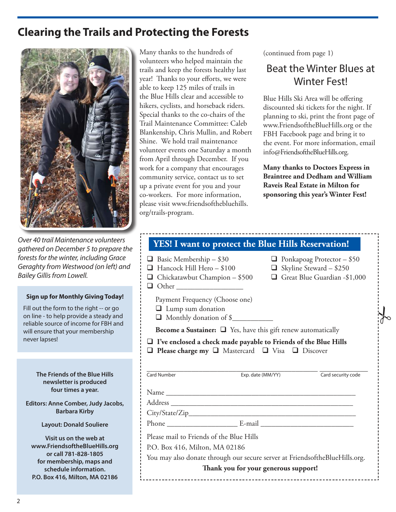### **Clearing the Trails and Protecting the Forests**



Over 40 trail Maintenance volunteers gathered on December 5 to prepare the forests for the winter, including Grace Geraghty from Westwood (on left) and Bailey Gillis from Lowell.

#### **Sign up for Monthly Giving Today!**

Fill out the form to the right -- or go on line - to help provide a steady and reliable source of income for FBH and will ensure that your membership never lapses!

> **The Friends of the Blue Hills newsletter is produced four times a year.**

**Editors: Anne Comber, Judy Jacobs, Barbara Kirby**

**Layout: Donald Souliere**

**Visit us on the web at www.FriendsoftheBlueHills.org or call 781-828-1805 for membership, maps and schedule information. P.O. Box 416, Milton, MA 02186**

Many thanks to the hundreds of volunteers who helped maintain the trails and keep the forests healthy last year! Thanks to your efforts, we were able to keep 125 miles of trails in the Blue Hills clear and accessible to hikers, cyclists, and horseback riders. Special thanks to the co-chairs of the Trail Maintenance Committee: Caleb Blankenship, Chris Mullin, and Robert Shine. We hold trail maintenance volunteer events one Saturday a month from April through December. If you work for a company that encourages community service, contact us to set up a private event for you and your co-workers. For more information, please visit www.friendsofthebluehills. org/trails-program.

(continued from page 1)

### Beat the Winter Blues at Winter Fest!

Blue Hills Ski Area will be offering discounted ski tickets for the night. If planning to ski, print the front page of www.FriendsoftheBlueHills.org or the FBH Facebook page and bring it to the event. For more information, email info@FriendsoftheBlueHills.org.

**Many thanks to Doctors Express in Braintree and Dedham and William Raveis Real Estate in Milton for sponsoring this year's Winter Fest!**

| $\Box$ Basic Membership - \$30<br>$\Box$ Hancock Hill Hero – \$100<br>$\Box$ Chickatawbut Champion – \$500<br>$\Box$ Other                                            |                   | $\Box$ Ponkapoag Protector – \$50<br>$\Box$ Skyline Steward - \$250<br>Great Blue Guardian -\$1,000 |
|-----------------------------------------------------------------------------------------------------------------------------------------------------------------------|-------------------|-----------------------------------------------------------------------------------------------------|
| Payment Frequency (Choose one)<br>$\Box$ Lump sum donation<br>Monthly donation of \$                                                                                  |                   |                                                                                                     |
| <b>Become a Sustainer:</b> $\Box$ Yes, have this gift renew automatically                                                                                             |                   |                                                                                                     |
|                                                                                                                                                                       |                   |                                                                                                     |
| $\Box$ I've enclosed a check made payable to Friends of the Blue Hills<br>$\Box$ Please charge my $\Box$ Mastercard $\Box$ Visa $\Box$ Discover<br><b>Card Number</b> | Exp. date (MM/YY) | Card security code                                                                                  |
|                                                                                                                                                                       |                   |                                                                                                     |
|                                                                                                                                                                       |                   |                                                                                                     |
|                                                                                                                                                                       |                   |                                                                                                     |
|                                                                                                                                                                       |                   |                                                                                                     |
| Please mail to Friends of the Blue Hills                                                                                                                              |                   |                                                                                                     |
| P.O. Box 416, Milton, MA 02186                                                                                                                                        |                   |                                                                                                     |
| You may also donate through our secure server at FriendsoftheBlueHills.org.                                                                                           |                   |                                                                                                     |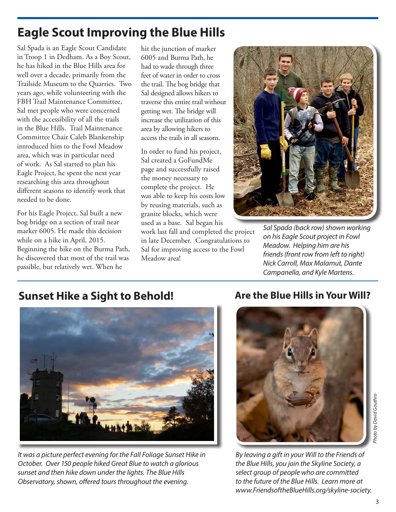## **Eagle Scout Improving the Blue Hills**

Sal Spada is an Eagle Scout Candidate in Troop 1 in Dedham. As a Boy Scout, he has hiked in the Blue Hills area for well over a decade, primarily from the Trailside Museum to the Quarries. Two years ago, while volunteering with the FBH Trail Maintenance Committee, Sal met people who were concerned with the accessibility of all the trails in the Blue Hills. Trail Maintenance Committee Chair Caleb Blankenship introduced him to the Fowl Meadow area, which was in particular need of work. As Sal started to plan his Eagle Project, he spent the next year researching this area throughout different seasons to identify work that needed to be done.

For his Eagle Project, Sal built a new bog bridge on a section of trail near marker 6005. He made this decision while on a hike in April, 2015. Beginning the hike on the Burma Path, he discovered that most of the trail was passible, but relatively wet. When he

hit the junction of marker 6005 and Burma Path, he had to wade through three feet of water in order to cross the trail. The bog bridge that Sal designed allows hikers to traverse this entire trail without getting wet. The bridge will increase the utilization of this area by allowing hikers to access the trails in all seasons.

In order to fund his project, Sal created a GoFundMe page and successfully raised the money necessary to complete the project. He was able to keep his costs low by reusing materials, such as granite blocks, which were used as a base. Sal began his

work last fall and completed the project in late December. Congratulations to Sal for improving access to the Fowl Meadow area!



Sal Spada (back row) shown working on his Eagle Scout project in Fowl Meadow. Helping him are his friends (front row from left to right) Nick Carroll, Max Malamut, Dante Campanella, and Kyle Martens.

### **Sunset Hike a Sight to Behold! Are the Blue Hills in Your Will?**



It was a picture perfect evening for the Fall Foliage Sunset Hike in October. Over 150 people hiked Great Blue to watch a glorious sunset and then hike down under the lights. The Blue Hills Observatory, shown, offered tours throughout the evening.



By leaving a gift in your Will to the Friends of the Blue Hills, you join the Skyline Society, a select group of people who are committed to the future of the Blue Hills. Learn more at www.FriendsoftheBlueHills.org/skyline-society.

Photo by David Gouthro

hoto by David Gouthro

3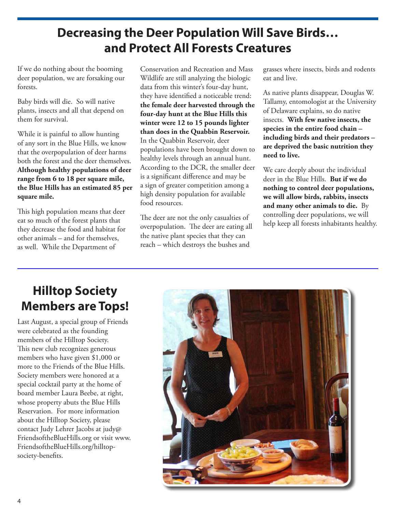### **Decreasing the Deer Population Will Save Birds… and Protect All Forests Creatures**

If we do nothing about the booming deer population, we are forsaking our forests.

Baby birds will die. So will native plants, insects and all that depend on them for survival.

While it is painful to allow hunting of any sort in the Blue Hills, we know that the overpopulation of deer harms both the forest and the deer themselves. **Although healthy populations of deer range from 6 to 18 per square mile, the Blue Hills has an estimated 85 per square mile.**

This high population means that deer eat so much of the forest plants that they decrease the food and habitat for other animals – and for themselves, as well. While the Department of

Conservation and Recreation and Mass Wildlife are still analyzing the biologic data from this winter's four-day hunt, they have identified a noticeable trend: **the female deer harvested through the four-day hunt at the Blue Hills this winter were 12 to 15 pounds lighter than does in the Quabbin Reservoir.**  In the Quabbin Reservoir, deer populations have been brought down to healthy levels through an annual hunt. According to the DCR, the smaller deer is a significant difference and may be a sign of greater competition among a high density population for available food resources.

The deer are not the only casualties of overpopulation. The deer are eating all the native plant species that they can reach – which destroys the bushes and

grasses where insects, birds and rodents eat and live.

As native plants disappear, Douglas W. Tallamy, entomologist at the University of Delaware explains, so do native insects. **With few native insects, the species in the entire food chain – including birds and their predators – are deprived the basic nutrition they need to live.** 

We care deeply about the individual deer in the Blue Hills. **But if we do nothing to control deer populations, we will allow birds, rabbits, insects and many other animals to die.** By controlling deer populations, we will help keep all forests inhabitants healthy.

### **Hilltop Society Members are Tops!**

Last August, a special group of Friends were celebrated as the founding members of the Hilltop Society. This new club recognizes generous members who have given \$1,000 or more to the Friends of the Blue Hills. Society members were honored at a special cocktail party at the home of board member Laura Beebe, at right, whose property abuts the Blue Hills Reservation. For more information about the Hilltop Society, please contact Judy Lehrer Jacobs at judy@ FriendsoftheBlueHills.org or visit www. FriendsoftheBlueHills.org/hilltopsociety-benefits.

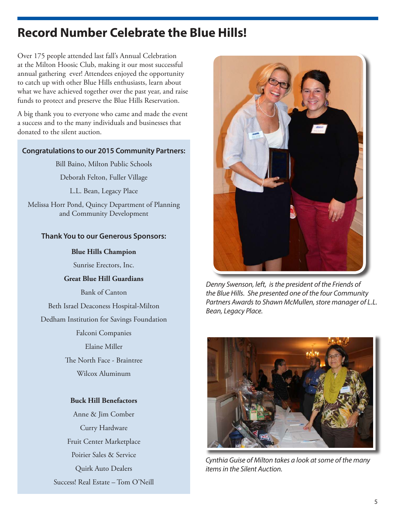### **Record Number Celebrate the Blue Hills!**

Over 175 people attended last fall's Annual Celebration at the Milton Hoosic Club, making it our most successful annual gathering ever! Attendees enjoyed the opportunity to catch up with other Blue Hills enthusiasts, learn about what we have achieved together over the past year, and raise funds to protect and preserve the Blue Hills Reservation.

A big thank you to everyone who came and made the event a success and to the many individuals and businesses that donated to the silent auction.

#### **Congratulations to our 2015 Community Partners:**

Bill Baino, Milton Public Schools

Deborah Felton, Fuller Village

L.L. Bean, Legacy Place

Melissa Horr Pond, Quincy Department of Planning and Community Development

#### **Thank You to our Generous Sponsors:**

#### **Blue Hills Champion**

Sunrise Erectors, Inc.

#### **Great Blue Hill Guardians**

Bank of Canton

Beth Israel Deaconess Hospital-Milton

Dedham Institution for Savings Foundation

Falconi Companies

Elaine Miller

The North Face - Braintree

Wilcox Aluminum

#### **Buck Hill Benefactors**

Anne & Jim Comber Curry Hardware Fruit Center Marketplace Poirier Sales & Service Quirk Auto Dealers Success! Real Estate – Tom O'Neill



Denny Swenson, left, is the president of the Friends of the Blue Hills. She presented one of the four Community Partners Awards to Shawn McMullen, store manager of L.L. Bean, Legacy Place.



Cynthia Guise of Milton takes a look at some of the many items in the Silent Auction.